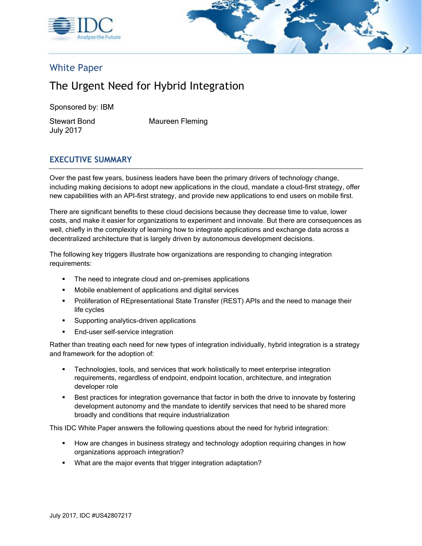



# White Paper

# The Urgent Need for Hybrid Integration

Sponsored by: IBM

July 2017

Stewart Bond Maureen Fleming

# **EXECUTIVE SUMMARY**

Over the past few years, business leaders have been the primary drivers of technology change, including making decisions to adopt new applications in the cloud, mandate a cloud-first strategy, offer new capabilities with an API-first strategy, and provide new applications to end users on mobile first.

There are significant benefits to these cloud decisions because they decrease time to value, lower costs, and make it easier for organizations to experiment and innovate. But there are consequences as well, chiefly in the complexity of learning how to integrate applications and exchange data across a decentralized architecture that is largely driven by autonomous development decisions.

The following key triggers illustrate how organizations are responding to changing integration requirements:

- The need to integrate cloud and on-premises applications
- Mobile enablement of applications and digital services
- **Proliferation of REpresentational State Transfer (REST) APIs and the need to manage their** life cycles
- Supporting analytics-driven applications
- **End-user self-service integration**

Rather than treating each need for new types of integration individually, hybrid integration is a strategy and framework for the adoption of:

- Technologies, tools, and services that work holistically to meet enterprise integration requirements, regardless of endpoint, endpoint location, architecture, and integration developer role
- Best practices for integration governance that factor in both the drive to innovate by fostering development autonomy and the mandate to identify services that need to be shared more broadly and conditions that require industrialization

This IDC White Paper answers the following questions about the need for hybrid integration:

- **■** How are changes in business strategy and technology adoption requiring changes in how organizations approach integration?
- What are the major events that trigger integration adaptation?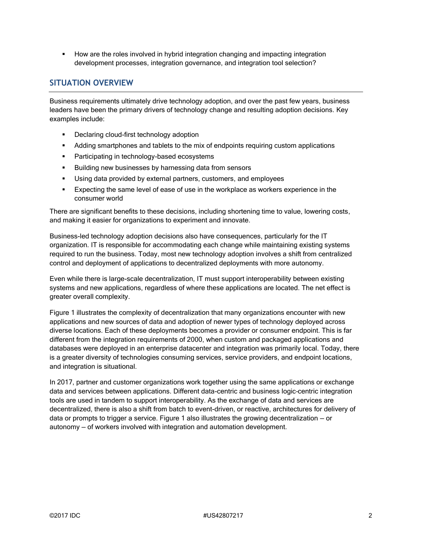**■** How are the roles involved in hybrid integration changing and impacting integration development processes, integration governance, and integration tool selection?

### **SITUATION OVERVIEW**

Business requirements ultimately drive technology adoption, and over the past few years, business leaders have been the primary drivers of technology change and resulting adoption decisions. Key examples include:

- Declaring cloud-first technology adoption
- Adding smartphones and tablets to the mix of endpoints requiring custom applications
- **•** Participating in technology-based ecosystems
- Building new businesses by harnessing data from sensors
- Using data provided by external partners, customers, and employees
- **Expecting the same level of ease of use in the workplace as workers experience in the** consumer world

There are significant benefits to these decisions, including shortening time to value, lowering costs, and making it easier for organizations to experiment and innovate.

Business-led technology adoption decisions also have consequences, particularly for the IT organization. IT is responsible for accommodating each change while maintaining existing systems required to run the business. Today, most new technology adoption involves a shift from centralized control and deployment of applications to decentralized deployments with more autonomy.

Even while there is large-scale decentralization, IT must support interoperability between existing systems and new applications, regardless of where these applications are located. The net effect is greater overall complexity.

Figure 1 illustrates the complexity of decentralization that many organizations encounter with new applications and new sources of data and adoption of newer types of technology deployed across diverse locations. Each of these deployments becomes a provider or consumer endpoint. This is far different from the integration requirements of 2000, when custom and packaged applications and databases were deployed in an enterprise datacenter and integration was primarily local. Today, there is a greater diversity of technologies consuming services, service providers, and endpoint locations, and integration is situational.

In 2017, partner and customer organizations work together using the same applications or exchange data and services between applications. Different data-centric and business logic–centric integration tools are used in tandem to support interoperability. As the exchange of data and services are decentralized, there is also a shift from batch to event-driven, or reactive, architectures for delivery of data or prompts to trigger a service. Figure 1 also illustrates the growing decentralization — or autonomy — of workers involved with integration and automation development.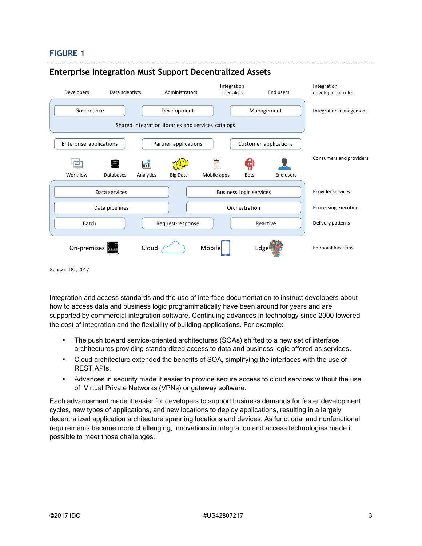#### **FIGURE 1**



#### **Enterprise Integration Must Support Decentralized Assets**

Source: IDC, 2017

Integration and access standards and the use of interface documentation to instruct developers about how to access data and business logic programmatically have been around for years and are supported by commercial integration software. Continuing advances in technology since 2000 lowered the cost of integration and the flexibility of building applications. For example:

- The push toward service-oriented architectures (SOAs) shifted to a new set of interface architectures providing standardized access to data and business logic offered as services.
- Cloud architecture extended the benefits of SOA, simplifying the interfaces with the use of REST APIs.
- **EXECUTE:** Advances in security made it easier to provide secure access to cloud services without the use of Virtual Private Networks (VPNs) or gateway software.

Each advancement made it easier for developers to support business demands for faster development cycles, new types of applications, and new locations to deploy applications, resulting in a largely decentralized application architecture spanning locations and devices. As functional and nonfunctional requirements became more challenging, innovations in integration and access technologies made it possible to meet those challenges.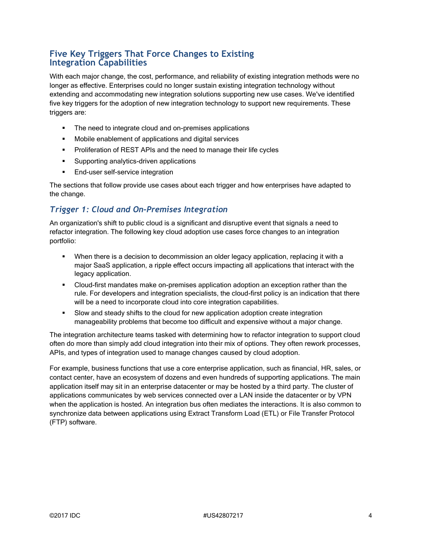# **Five Key Triggers That Force Changes to Existing Integration Capabilities**

With each major change, the cost, performance, and reliability of existing integration methods were no longer as effective. Enterprises could no longer sustain existing integration technology without extending and accommodating new integration solutions supporting new use cases. We've identified five key triggers for the adoption of new integration technology to support new requirements. These triggers are:

- The need to integrate cloud and on-premises applications
- Mobile enablement of applications and digital services
- **•** Proliferation of REST APIs and the need to manage their life cycles
- Supporting analytics-driven applications
- **End-user self-service integration**

The sections that follow provide use cases about each trigger and how enterprises have adapted to the change.

# *Trigger 1: Cloud and On-Premises Integration*

An organization's shift to public cloud is a significant and disruptive event that signals a need to refactor integration. The following key cloud adoption use cases force changes to an integration portfolio:

- **•** When there is a decision to decommission an older legacy application, replacing it with a major SaaS application, a ripple effect occurs impacting all applications that interact with the legacy application.
- Cloud-first mandates make on-premises application adoption an exception rather than the rule. For developers and integration specialists, the cloud-first policy is an indication that there will be a need to incorporate cloud into core integration capabilities.
- Slow and steady shifts to the cloud for new application adoption create integration manageability problems that become too difficult and expensive without a major change.

The integration architecture teams tasked with determining how to refactor integration to support cloud often do more than simply add cloud integration into their mix of options. They often rework processes, APIs, and types of integration used to manage changes caused by cloud adoption.

For example, business functions that use a core enterprise application, such as financial, HR, sales, or contact center, have an ecosystem of dozens and even hundreds of supporting applications. The main application itself may sit in an enterprise datacenter or may be hosted by a third party. The cluster of applications communicates by web services connected over a LAN inside the datacenter or by VPN when the application is hosted. An integration bus often mediates the interactions. It is also common to synchronize data between applications using Extract Transform Load (ETL) or File Transfer Protocol (FTP) software.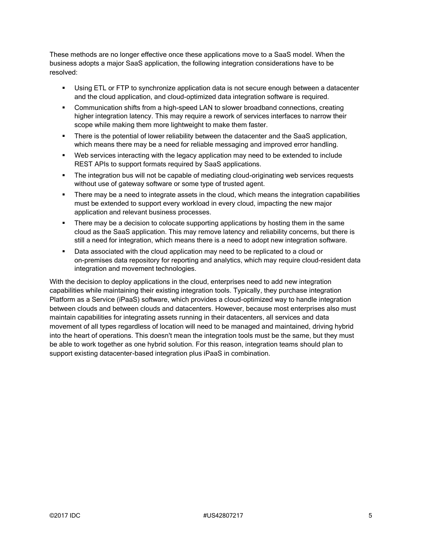These methods are no longer effective once these applications move to a SaaS model. When the business adopts a major SaaS application, the following integration considerations have to be resolved:

- **•** Using ETL or FTP to synchronize application data is not secure enough between a datacenter and the cloud application, and cloud-optimized data integration software is required.
- **Communication shifts from a high-speed LAN to slower broadband connections, creating** higher integration latency. This may require a rework of services interfaces to narrow their scope while making them more lightweight to make them faster.
- **•** There is the potential of lower reliability between the datacenter and the SaaS application, which means there may be a need for reliable messaging and improved error handling.
- Web services interacting with the legacy application may need to be extended to include REST APIs to support formats required by SaaS applications.
- **•** The integration bus will not be capable of mediating cloud-originating web services requests without use of gateway software or some type of trusted agent.
- **•** There may be a need to integrate assets in the cloud, which means the integration capabilities must be extended to support every workload in every cloud, impacting the new major application and relevant business processes.
- **•** There may be a decision to colocate supporting applications by hosting them in the same cloud as the SaaS application. This may remove latency and reliability concerns, but there is still a need for integration, which means there is a need to adopt new integration software.
- Data associated with the cloud application may need to be replicated to a cloud or on-premises data repository for reporting and analytics, which may require cloud-resident data integration and movement technologies.

With the decision to deploy applications in the cloud, enterprises need to add new integration capabilities while maintaining their existing integration tools. Typically, they purchase integration Platform as a Service (iPaaS) software, which provides a cloud-optimized way to handle integration between clouds and between clouds and datacenters. However, because most enterprises also must maintain capabilities for integrating assets running in their datacenters, all services and data movement of all types regardless of location will need to be managed and maintained, driving hybrid into the heart of operations. This doesn't mean the integration tools must be the same, but they must be able to work together as one hybrid solution. For this reason, integration teams should plan to support existing datacenter-based integration plus iPaaS in combination.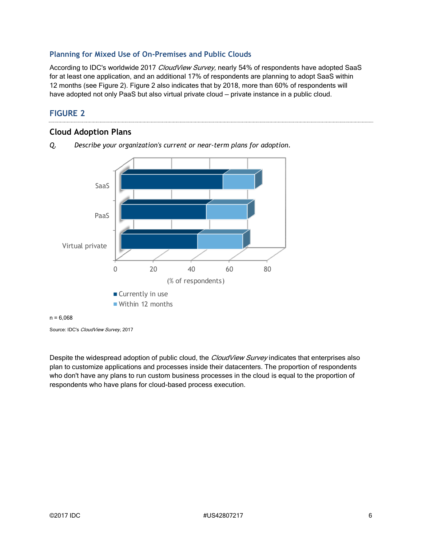#### **Planning for Mixed Use of On-Premises and Public Clouds**

According to IDC's worldwide 2017 CloudView Survey, nearly 54% of respondents have adopted SaaS for at least one application, and an additional 17% of respondents are planning to adopt SaaS within 12 months (see Figure 2). Figure 2 also indicates that by 2018, more than 60% of respondents will have adopted not only PaaS but also virtual private cloud — private instance in a public cloud.

## **FIGURE 2**

### **Cloud Adoption Plans**



*Q. Describe your organization's current or near-term plans for adoption.*

#### $n = 6.068$

Source: IDC's CloudView Survey, 2017

Despite the widespread adoption of public cloud, the CloudView Survey indicates that enterprises also plan to customize applications and processes inside their datacenters. The proportion of respondents who don't have any plans to run custom business processes in the cloud is equal to the proportion of respondents who have plans for cloud-based process execution.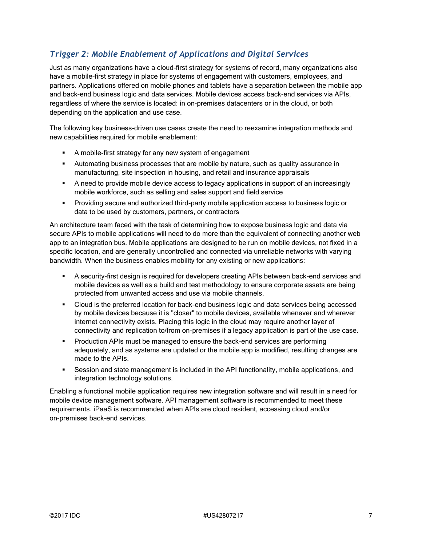# *Trigger 2: Mobile Enablement of Applications and Digital Services*

Just as many organizations have a cloud-first strategy for systems of record, many organizations also have a mobile-first strategy in place for systems of engagement with customers, employees, and partners. Applications offered on mobile phones and tablets have a separation between the mobile app and back-end business logic and data services. Mobile devices access back-end services via APIs, regardless of where the service is located: in on-premises datacenters or in the cloud, or both depending on the application and use case.

The following key business-driven use cases create the need to reexamine integration methods and new capabilities required for mobile enablement:

- A mobile-first strategy for any new system of engagement
- **E** Automating business processes that are mobile by nature, such as quality assurance in manufacturing, site inspection in housing, and retail and insurance appraisals
- A need to provide mobile device access to legacy applications in support of an increasingly mobile workforce, such as selling and sales support and field service
- **•** Providing secure and authorized third-party mobile application access to business logic or data to be used by customers, partners, or contractors

An architecture team faced with the task of determining how to expose business logic and data via secure APIs to mobile applications will need to do more than the equivalent of connecting another web app to an integration bus. Mobile applications are designed to be run on mobile devices, not fixed in a specific location, and are generally uncontrolled and connected via unreliable networks with varying bandwidth. When the business enables mobility for any existing or new applications:

- A security-first design is required for developers creating APIs between back-end services and mobile devices as well as a build and test methodology to ensure corporate assets are being protected from unwanted access and use via mobile channels.
- Cloud is the preferred location for back-end business logic and data services being accessed by mobile devices because it is "closer" to mobile devices, available whenever and wherever internet connectivity exists. Placing this logic in the cloud may require another layer of connectivity and replication to/from on-premises if a legacy application is part of the use case.
- **Production APIs must be managed to ensure the back-end services are performing** adequately, and as systems are updated or the mobile app is modified, resulting changes are made to the APIs.
- Session and state management is included in the API functionality, mobile applications, and integration technology solutions.

Enabling a functional mobile application requires new integration software and will result in a need for mobile device management software. API management software is recommended to meet these requirements. iPaaS is recommended when APIs are cloud resident, accessing cloud and/or on-premises back-end services.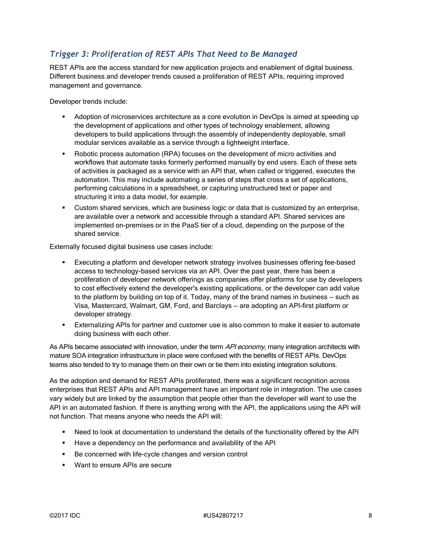# *Trigger 3: Proliferation of REST APIs That Need to Be Managed*

REST APIs are the access standard for new application projects and enablement of digital business. Different business and developer trends caused a proliferation of REST APIs, requiring improved management and governance.

Developer trends include:

- **EXECT** Adoption of microservices architecture as a core evolution in DevOps is aimed at speeding up the development of applications and other types of technology enablement, allowing developers to build applications through the assembly of independently deployable, small modular services available as a service through a lightweight interface.
- Robotic process automation (RPA) focuses on the development of micro activities and workflows that automate tasks formerly performed manually by end users. Each of these sets of activities is packaged as a service with an API that, when called or triggered, executes the automation. This may include automating a series of steps that cross a set of applications, performing calculations in a spreadsheet, or capturing unstructured text or paper and structuring it into a data model, for example.
- **EXECUST CUSTOM SHARE SERVICES, which are business logic or data that is customized by an enterprise,** are available over a network and accessible through a standard API. Shared services are implemented on-premises or in the PaaS tier of a cloud, depending on the purpose of the shared service.

Externally focused digital business use cases include:

- Executing a platform and developer network strategy involves businesses offering fee-based access to technology-based services via an API. Over the past year, there has been a proliferation of developer network offerings as companies offer platforms for use by developers to cost effectively extend the developer's existing applications, or the developer can add value to the platform by building on top of it. Today, many of the brand names in business — such as Visa, Mastercard, Walmart, GM, Ford, and Barclays — are adopting an API-first platform or developer strategy.
- **Externalizing APIs for partner and customer use is also common to make it easier to automate** doing business with each other.

As APIs became associated with innovation, under the term API economy, many integration architects with mature SOA integration infrastructure in place were confused with the benefits of REST APIs. DevOps teams also tended to try to manage them on their own or tie them into existing integration solutions.

As the adoption and demand for REST APIs proliferated, there was a significant recognition across enterprises that REST APIs and API management have an important role in integration. The use cases vary widely but are linked by the assumption that people other than the developer will want to use the API in an automated fashion. If there is anything wrong with the API, the applications using the API will not function. That means anyone who needs the API will:

- Need to look at documentation to understand the details of the functionality offered by the API
- Have a dependency on the performance and availability of the API
- Be concerned with life-cycle changes and version control
- Want to ensure APIs are secure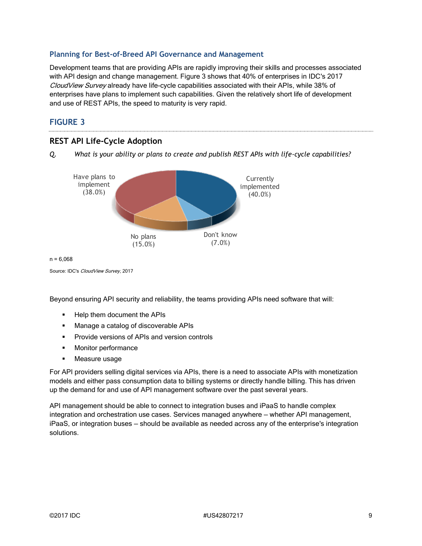#### **Planning for Best-of-Breed API Governance and Management**

Development teams that are providing APIs are rapidly improving their skills and processes associated with API design and change management. Figure 3 shows that 40% of enterprises in IDC's 2017 CloudView Survey already have life-cycle capabilities associated with their APIs, while 38% of enterprises have plans to implement such capabilities. Given the relatively short life of development and use of REST APIs, the speed to maturity is very rapid.

#### **FIGURE 3**





 $n = 6.068$ 

Source: IDC's CloudView Survey, 2017

Beyond ensuring API security and reliability, the teams providing APIs need software that will:

- Help them document the APIs
- Manage a catalog of discoverable APIs
- Provide versions of APIs and version controls
- Monitor performance
- Measure usage

For API providers selling digital services via APIs, there is a need to associate APIs with monetization models and either pass consumption data to billing systems or directly handle billing. This has driven up the demand for and use of API management software over the past several years.

API management should be able to connect to integration buses and iPaaS to handle complex integration and orchestration use cases. Services managed anywhere — whether API management, iPaaS, or integration buses — should be available as needed across any of the enterprise's integration solutions.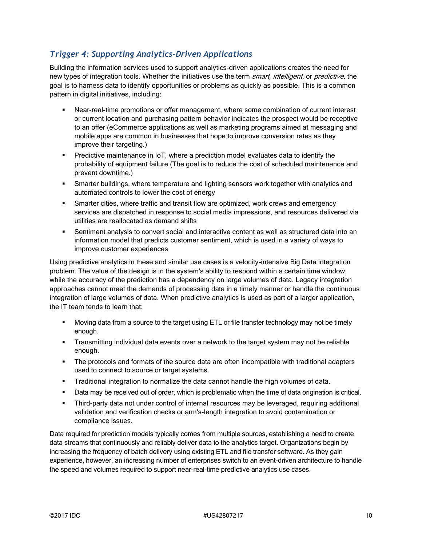# *Trigger 4: Supporting Analytics-Driven Applications*

Building the information services used to support analytics-driven applications creates the need for new types of integration tools. Whether the initiatives use the term *smart, intelligent*, or *predictive*, the goal is to harness data to identify opportunities or problems as quickly as possible. This is a common pattern in digital initiatives, including:

- Near-real-time promotions or offer management, where some combination of current interest or current location and purchasing pattern behavior indicates the prospect would be receptive to an offer (eCommerce applications as well as marketing programs aimed at messaging and mobile apps are common in businesses that hope to improve conversion rates as they improve their targeting.)
- **•** Predictive maintenance in IoT, where a prediction model evaluates data to identify the probability of equipment failure (The goal is to reduce the cost of scheduled maintenance and prevent downtime.)
- **•** Smarter buildings, where temperature and lighting sensors work together with analytics and automated controls to lower the cost of energy
- **EXECT** Smarter cities, where traffic and transit flow are optimized, work crews and emergency services are dispatched in response to social media impressions, and resources delivered via utilities are reallocated as demand shifts
- **•** Sentiment analysis to convert social and interactive content as well as structured data into an information model that predicts customer sentiment, which is used in a variety of ways to improve customer experiences

Using predictive analytics in these and similar use cases is a velocity-intensive Big Data integration problem. The value of the design is in the system's ability to respond within a certain time window, while the accuracy of the prediction has a dependency on large volumes of data. Legacy integration approaches cannot meet the demands of processing data in a timely manner or handle the continuous integration of large volumes of data. When predictive analytics is used as part of a larger application, the IT team tends to learn that:

- Moving data from a source to the target using ETL or file transfer technology may not be timely enough.
- **•** Transmitting individual data events over a network to the target system may not be reliable enough.
- The protocols and formats of the source data are often incompatible with traditional adapters used to connect to source or target systems.
- **•** Traditional integration to normalize the data cannot handle the high volumes of data.
- **■** Data may be received out of order, which is problematic when the time of data origination is critical.
- Third-party data not under control of internal resources may be leveraged, requiring additional validation and verification checks or arm's-length integration to avoid contamination or compliance issues.

Data required for prediction models typically comes from multiple sources, establishing a need to create data streams that continuously and reliably deliver data to the analytics target. Organizations begin by increasing the frequency of batch delivery using existing ETL and file transfer software. As they gain experience, however, an increasing number of enterprises switch to an event-driven architecture to handle the speed and volumes required to support near-real-time predictive analytics use cases.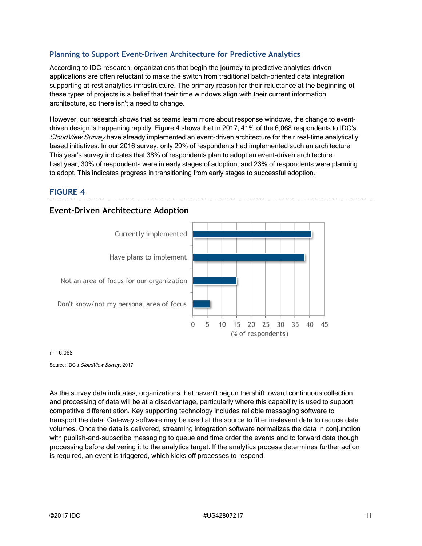#### **Planning to Support Event-Driven Architecture for Predictive Analytics**

According to IDC research, organizations that begin the journey to predictive analytics–driven applications are often reluctant to make the switch from traditional batch-oriented data integration supporting at-rest analytics infrastructure. The primary reason for their reluctance at the beginning of these types of projects is a belief that their time windows align with their current information architecture, so there isn't a need to change.

However, our research shows that as teams learn more about response windows, the change to eventdriven design is happening rapidly. Figure 4 shows that in 2017, 41% of the 6,068 respondents to IDC's CloudView Survey have already implemented an event-driven architecture for their real-time analytically based initiatives. In our 2016 survey, only 29% of respondents had implemented such an architecture. This year's survey indicates that 38% of respondents plan to adopt an event-driven architecture. Last year, 30% of respondents were in early stages of adoption, and 23% of respondents were planning to adopt. This indicates progress in transitioning from early stages to successful adoption.

#### **FIGURE 4**

# **Event-Driven Architecture Adoption**



#### $n = 6,068$

Source: IDC's CloudView Survey, 2017

As the survey data indicates, organizations that haven't begun the shift toward continuous collection and processing of data will be at a disadvantage, particularly where this capability is used to support competitive differentiation. Key supporting technology includes reliable messaging software to transport the data. Gateway software may be used at the source to filter irrelevant data to reduce data volumes. Once the data is delivered, streaming integration software normalizes the data in conjunction with publish-and-subscribe messaging to queue and time order the events and to forward data though processing before delivering it to the analytics target. If the analytics process determines further action is required, an event is triggered, which kicks off processes to respond.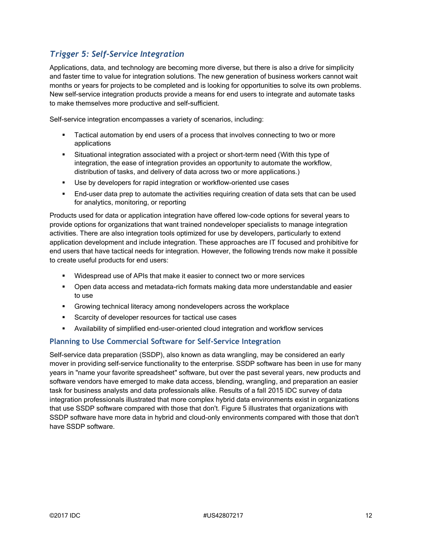# *Trigger 5: Self-Service Integration*

Applications, data, and technology are becoming more diverse, but there is also a drive for simplicity and faster time to value for integration solutions. The new generation of business workers cannot wait months or years for projects to be completed and is looking for opportunities to solve its own problems. New self-service integration products provide a means for end users to integrate and automate tasks to make themselves more productive and self-sufficient.

Self-service integration encompasses a variety of scenarios, including:

- **EXEC** Tactical automation by end users of a process that involves connecting to two or more applications
- Situational integration associated with a project or short-term need (With this type of integration, the ease of integration provides an opportunity to automate the workflow, distribution of tasks, and delivery of data across two or more applications.)
- Use by developers for rapid integration or workflow-oriented use cases
- **■** End-user data prep to automate the activities requiring creation of data sets that can be used for analytics, monitoring, or reporting

Products used for data or application integration have offered low-code options for several years to provide options for organizations that want trained nondeveloper specialists to manage integration activities. There are also integration tools optimized for use by developers, particularly to extend application development and include integration. These approaches are IT focused and prohibitive for end users that have tactical needs for integration. However, the following trends now make it possible to create useful products for end users:

- Widespread use of APIs that make it easier to connect two or more services
- Open data access and metadata-rich formats making data more understandable and easier to use
- **EXEDENT CONTERCT CONTERCT CONTERCT ACTS** Growing technical literacy among nondevelopers across the workplace
- Scarcity of developer resources for tactical use cases
- Availability of simplified end-user-oriented cloud integration and workflow services

#### **Planning to Use Commercial Software for Self-Service Integration**

Self-service data preparation (SSDP), also known as data wrangling, may be considered an early mover in providing self-service functionality to the enterprise. SSDP software has been in use for many years in "name your favorite spreadsheet" software, but over the past several years, new products and software vendors have emerged to make data access, blending, wrangling, and preparation an easier task for business analysts and data professionals alike. Results of a fall 2015 IDC survey of data integration professionals illustrated that more complex hybrid data environments exist in organizations that use SSDP software compared with those that don't. Figure 5 illustrates that organizations with SSDP software have more data in hybrid and cloud-only environments compared with those that don't have SSDP software.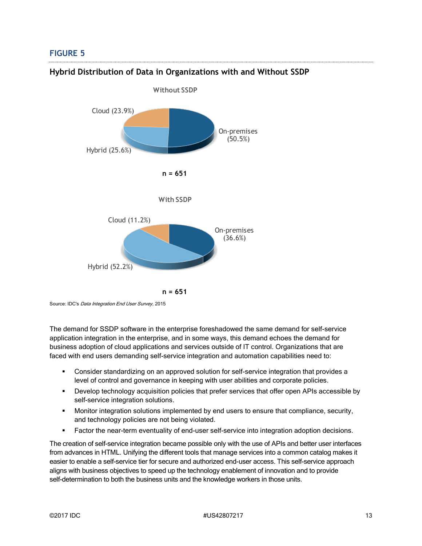#### **FIGURE 5**



#### **Hybrid Distribution of Data in Organizations with and Without SSDP**

Source: IDC's Data Integration End User Survey, 2015

The demand for SSDP software in the enterprise foreshadowed the same demand for self-service application integration in the enterprise, and in some ways, this demand echoes the demand for business adoption of cloud applications and services outside of IT control. Organizations that are faced with end users demanding self-service integration and automation capabilities need to:

- Consider standardizing on an approved solution for self-service integration that provides a level of control and governance in keeping with user abilities and corporate policies.
- **•** Develop technology acquisition policies that prefer services that offer open APIs accessible by self-service integration solutions.
- **■** Monitor integration solutions implemented by end users to ensure that compliance, security, and technology policies are not being violated.
- Factor the near-term eventuality of end-user self-service into integration adoption decisions.

The creation of self-service integration became possible only with the use of APIs and better user interfaces from advances in HTML. Unifying the different tools that manage services into a common catalog makes it easier to enable a self-service tier for secure and authorized end-user access. This self-service approach aligns with business objectives to speed up the technology enablement of innovation and to provide self-determination to both the business units and the knowledge workers in those units.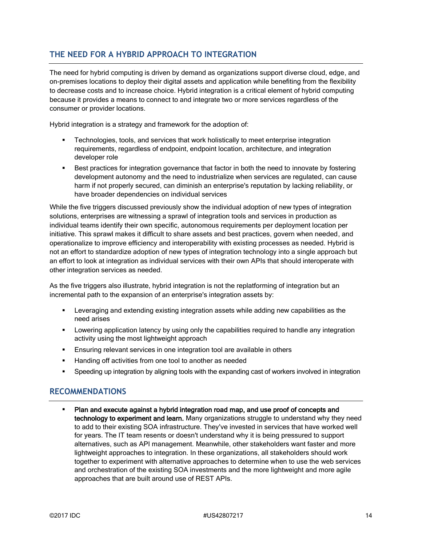## **THE NEED FOR A HYBRID APPROACH TO INTEGRATION**

The need for hybrid computing is driven by demand as organizations support diverse cloud, edge, and on-premises locations to deploy their digital assets and application while benefiting from the flexibility to decrease costs and to increase choice. Hybrid integration is a critical element of hybrid computing because it provides a means to connect to and integrate two or more services regardless of the consumer or provider locations.

Hybrid integration is a strategy and framework for the adoption of:

- Technologies, tools, and services that work holistically to meet enterprise integration requirements, regardless of endpoint, endpoint location, architecture, and integration developer role
- **•** Best practices for integration governance that factor in both the need to innovate by fostering development autonomy and the need to industrialize when services are regulated, can cause harm if not properly secured, can diminish an enterprise's reputation by lacking reliability, or have broader dependencies on individual services

While the five triggers discussed previously show the individual adoption of new types of integration solutions, enterprises are witnessing a sprawl of integration tools and services in production as individual teams identify their own specific, autonomous requirements per deployment location per initiative. This sprawl makes it difficult to share assets and best practices, govern when needed, and operationalize to improve efficiency and interoperability with existing processes as needed. Hybrid is not an effort to standardize adoption of new types of integration technology into a single approach but an effort to look at integration as individual services with their own APIs that should interoperate with other integration services as needed.

As the five triggers also illustrate, hybrid integration is not the replatforming of integration but an incremental path to the expansion of an enterprise's integration assets by:

- Leveraging and extending existing integration assets while adding new capabilities as the need arises
- **■** Lowering application latency by using only the capabilities required to handle any integration activity using the most lightweight approach
- Ensuring relevant services in one integration tool are available in others
- Handing off activities from one tool to another as needed
- **•** Speeding up integration by aligning tools with the expanding cast of workers involved in integration

#### **RECOMMENDATIONS**

Plan and execute against a hybrid integration road map, and use proof of concepts and technology to experiment and learn. Many organizations struggle to understand why they need to add to their existing SOA infrastructure. They've invested in services that have worked well for years. The IT team resents or doesn't understand why it is being pressured to support alternatives, such as API management. Meanwhile, other stakeholders want faster and more lightweight approaches to integration. In these organizations, all stakeholders should work together to experiment with alternative approaches to determine when to use the web services and orchestration of the existing SOA investments and the more lightweight and more agile approaches that are built around use of REST APIs.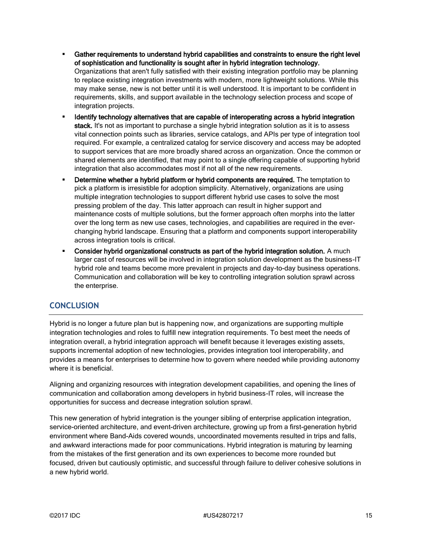- Gather requirements to understand hybrid capabilities and constraints to ensure the right level of sophistication and functionality is sought after in hybrid integration technology. Organizations that aren't fully satisfied with their existing integration portfolio may be planning to replace existing integration investments with modern, more lightweight solutions. While this may make sense, new is not better until it is well understood. It is important to be confident in requirements, skills, and support available in the technology selection process and scope of integration projects.
- Identify technology alternatives that are capable of interoperating across a hybrid integration stack. It's not as important to purchase a single hybrid integration solution as it is to assess vital connection points such as libraries, service catalogs, and APIs per type of integration tool required. For example, a centralized catalog for service discovery and access may be adopted to support services that are more broadly shared across an organization. Once the common or shared elements are identified, that may point to a single offering capable of supporting hybrid integration that also accommodates most if not all of the new requirements.
- **Determine whether a hybrid platform or hybrid components are required.** The temptation to pick a platform is irresistible for adoption simplicity. Alternatively, organizations are using multiple integration technologies to support different hybrid use cases to solve the most pressing problem of the day. This latter approach can result in higher support and maintenance costs of multiple solutions, but the former approach often morphs into the latter over the long term as new use cases, technologies, and capabilities are required in the everchanging hybrid landscape. Ensuring that a platform and components support interoperability across integration tools is critical.
- Consider hybrid organizational constructs as part of the hybrid integration solution. A much larger cast of resources will be involved in integration solution development as the business-IT hybrid role and teams become more prevalent in projects and day-to-day business operations. Communication and collaboration will be key to controlling integration solution sprawl across the enterprise.

### **CONCLUSION**

Hybrid is no longer a future plan but is happening now, and organizations are supporting multiple integration technologies and roles to fulfill new integration requirements. To best meet the needs of integration overall, a hybrid integration approach will benefit because it leverages existing assets, supports incremental adoption of new technologies, provides integration tool interoperability, and provides a means for enterprises to determine how to govern where needed while providing autonomy where it is beneficial.

Aligning and organizing resources with integration development capabilities, and opening the lines of communication and collaboration among developers in hybrid business-IT roles, will increase the opportunities for success and decrease integration solution sprawl.

This new generation of hybrid integration is the younger sibling of enterprise application integration, service-oriented architecture, and event-driven architecture, growing up from a first-generation hybrid environment where Band-Aids covered wounds, uncoordinated movements resulted in trips and falls, and awkward interactions made for poor communications. Hybrid integration is maturing by learning from the mistakes of the first generation and its own experiences to become more rounded but focused, driven but cautiously optimistic, and successful through failure to deliver cohesive solutions in a new hybrid world.